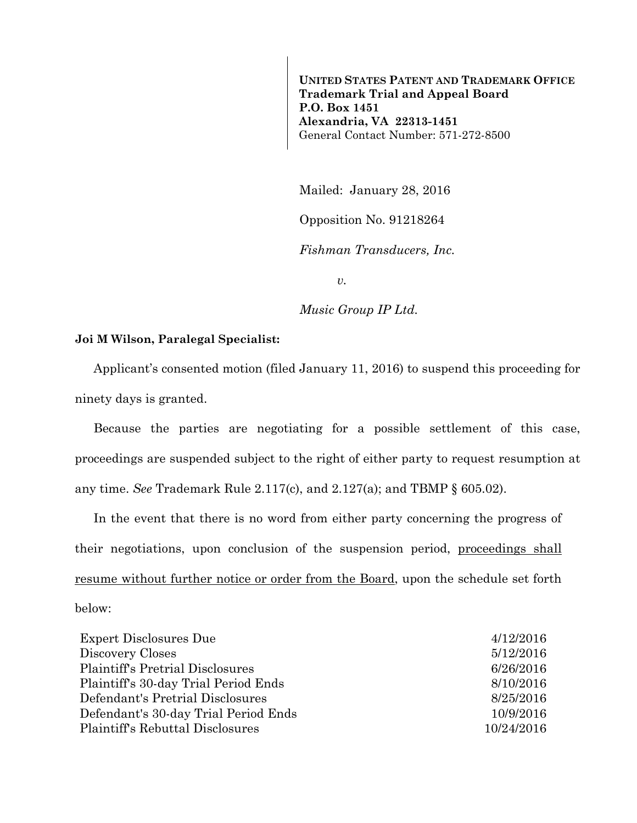**UNITED STATES PATENT AND TRADEMARK OFFICE Trademark Trial and Appeal Board P.O. Box 1451 Alexandria, VA 22313-1451**  General Contact Number: 571-272-8500

Mailed: January 28, 2016

Opposition No. 91218264

*Fishman Transducers, Inc.* 

*v.* 

*Music Group IP Ltd.* 

## **Joi M Wilson, Paralegal Specialist:**

Applicant's consented motion (filed January 11, 2016) to suspend this proceeding for ninety days is granted.

Because the parties are negotiating for a possible settlement of this case, proceedings are suspended subject to the right of either party to request resumption at any time. *See* Trademark Rule 2.117(c), and 2.127(a); and TBMP § 605.02).

In the event that there is no word from either party concerning the progress of their negotiations, upon conclusion of the suspension period, proceedings shall resume without further notice or order from the Board, upon the schedule set forth below:

| <b>Expert Disclosures Due</b>           | 4/12/2016  |
|-----------------------------------------|------------|
| Discovery Closes                        | 5/12/2016  |
| <b>Plaintiff's Pretrial Disclosures</b> | 6/26/2016  |
| Plaintiff's 30-day Trial Period Ends    | 8/10/2016  |
| Defendant's Pretrial Disclosures        | 8/25/2016  |
| Defendant's 30-day Trial Period Ends    | 10/9/2016  |
| <b>Plaintiff's Rebuttal Disclosures</b> | 10/24/2016 |